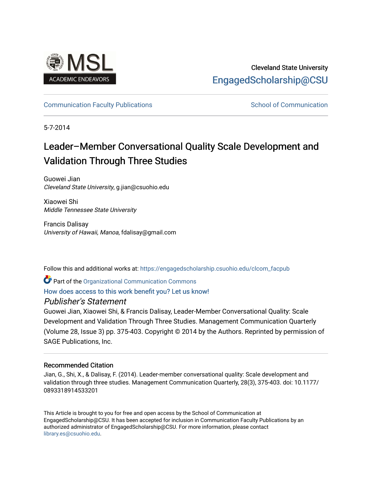

## Cleveland State University [EngagedScholarship@CSU](https://engagedscholarship.csuohio.edu/)

## [Communication Faculty Publications](https://engagedscholarship.csuohio.edu/clcom_facpub) [School of Communication](https://engagedscholarship.csuohio.edu/clcom) School of Communication

5-7-2014

# Leader–Member Conversational Quality Scale Development and Validation Through Three Studies

Guowei Jian Cleveland State University, g.jian@csuohio.edu

Xiaowei Shi Middle Tennessee State University

Francis Dalisay University of Hawaii, Manoa, fdalisay@gmail.com

Follow this and additional works at: [https://engagedscholarship.csuohio.edu/clcom\\_facpub](https://engagedscholarship.csuohio.edu/clcom_facpub?utm_source=engagedscholarship.csuohio.edu%2Fclcom_facpub%2F6&utm_medium=PDF&utm_campaign=PDFCoverPages) 

Part of the [Organizational Communication Commons](http://network.bepress.com/hgg/discipline/335?utm_source=engagedscholarship.csuohio.edu%2Fclcom_facpub%2F6&utm_medium=PDF&utm_campaign=PDFCoverPages)

## [How does access to this work benefit you? Let us know!](http://library.csuohio.edu/engaged/)

## Publisher's Statement

Guowei Jian, Xiaowei Shi, & Francis Dalisay, Leader-Member Conversational Quality: Scale Development and Validation Through Three Studies. Management Communication Quarterly (Volume 28, Issue 3) pp. 375-403. Copyright © 2014 by the Authors. Reprinted by permission of SAGE Publications, Inc.

## Recommended Citation

Jian, G., Shi, X., & Dalisay, F. (2014). Leader-member conversational quality: Scale development and validation through three studies. Management Communication Quarterly, 28(3), 375-403. doi: 10.1177/ 0893318914533201

This Article is brought to you for free and open access by the School of Communication at EngagedScholarship@CSU. It has been accepted for inclusion in Communication Faculty Publications by an authorized administrator of EngagedScholarship@CSU. For more information, please contact [library.es@csuohio.edu.](mailto:library.es@csuohio.edu)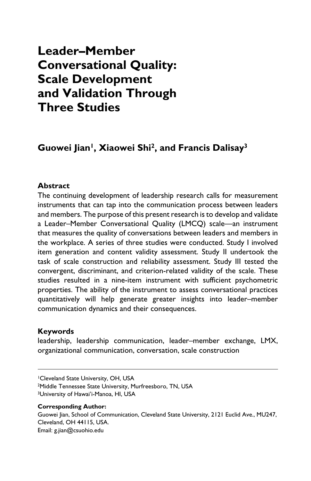## **Leader–Member Conversational Quality: Scale Development and Validation Through Three Studies**

## **Guowei Jian1, Xiaowei Shi2, and Francis Dalisay3**

#### **Abstract**

The continuing development of leadership research calls for measurement instruments that can tap into the communication process between leaders and members. The purpose of this present research is to develop and validate a Leader–Member Conversational Quality (LMCQ) scale—an instrument that measures the quality of conversations between leaders and members in the workplace. A series of three studies were conducted. Study I involved item generation and content validity assessment. Study II undertook the task of scale construction and reliability assessment. Study III tested the convergent, discriminant, and criterion-related validity of the scale. These studies resulted in a nine-item instrument with sufficient psychometric properties. The ability of the instrument to assess conversational practices quantitatively will help generate greater insights into leader–member communication dynamics and their consequences.

#### **Keywords**

leadership, leadership communication, leader–member exchange, LMX, organizational communication, conversation, scale construction

2Middle Tennessee State University, Murfreesboro, TN, USA 3University of Hawai'i-Manoa, HI, USA

#### **Corresponding Author:**

Guowei Jian, School of Communication, Cleveland State University, 2121 Euclid Ave., MU247, Cleveland, OH 44115, USA. Email: [g.jian@csuohio.edu](mailto:g.jian@csuohio.edu)

<sup>1</sup>Cleveland State University, OH, USA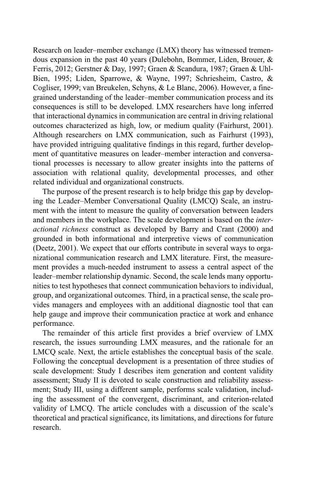Research on leader–member exchange (LMX) theory has witnessed tremendous expansion in the past 40 years (Dulebohn, Bommer, Liden, Brouer, & Ferris, 2012; Gerstner & Day, 1997; Graen & Scandura, 1987; Graen & Uhl-Bien, 1995; Liden, Sparrowe, & Wayne, 1997; Schriesheim, Castro, & Cogliser, 1999; van Breukelen, Schyns, & Le Blanc, 2006). However, a finegrained understanding of the leader–member communication process and its consequences is still to be developed. LMX researchers have long inferred that interactional dynamics in communication are central in driving relational outcomes characterized as high, low, or medium quality (Fairhurst, 2001). Although researchers on LMX communication, such as Fairhurst (1993), have provided intriguing qualitative findings in this regard, further development of quantitative measures on leader–member interaction and conversational processes is necessary to allow greater insights into the patterns of association with relational quality, developmental processes, and other related individual and organizational constructs.

The purpose of the present research is to help bridge this gap by developing the Leader–Member Conversational Quality (LMCQ) Scale, an instrument with the intent to measure the quality of conversation between leaders and members in the workplace. The scale development is based on the *interactional richness* construct as developed by Barry and Crant (2000) and grounded in both informational and interpretive views of communication (Deetz, 2001). We expect that our efforts contribute in several ways to organizational communication research and LMX literature. First, the measurement provides a much-needed instrument to assess a central aspect of the leader–member relationship dynamic. Second, the scale lends many opportunities to test hypotheses that connect communication behaviors to individual, group, and organizational outcomes. Third, in a practical sense, the scale provides managers and employees with an additional diagnostic tool that can help gauge and improve their communication practice at work and enhance performance.

The remainder of this article first provides a brief overview of LMX research, the issues surrounding LMX measures, and the rationale for an LMCQ scale. Next, the article establishes the conceptual basis of the scale. Following the conceptual development is a presentation of three studies of scale development: Study I describes item generation and content validity assessment; Study II is devoted to scale construction and reliability assessment; Study III, using a different sample, performs scale validation, including the assessment of the convergent, discriminant, and criterion-related validity of LMCQ. The article concludes with a discussion of the scale's theoretical and practical significance, its limitations, and directions for future research.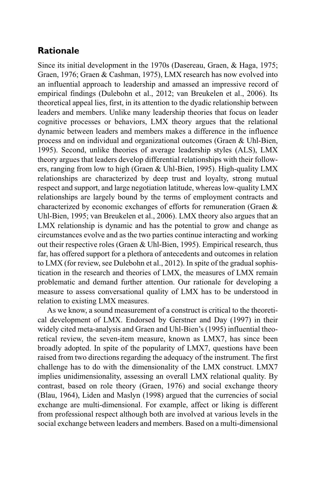## **Rationale**

Since its initial development in the 1970s (Dasereau, Graen, & Haga, 1975; Graen, 1976; Graen & Cashman, 1975), LMX research has now evolved into an influential approach to leadership and amassed an impressive record of empirical findings (Dulebohn et al., 2012; van Breukelen et al., 2006). Its theoretical appeal lies, first, in its attention to the dyadic relationship between leaders and members. Unlike many leadership theories that focus on leader cognitive processes or behaviors, LMX theory argues that the relational dynamic between leaders and members makes a difference in the influence process and on individual and organizational outcomes (Graen & Uhl-Bien, 1995). Second, unlike theories of average leadership styles (ALS), LMX theory argues that leaders develop differential relationships with their followers, ranging from low to high (Graen & Uhl-Bien, 1995). High-quality LMX relationships are characterized by deep trust and loyalty, strong mutual respect and support, and large negotiation latitude, whereas low-quality LMX relationships are largely bound by the terms of employment contracts and characterized by economic exchanges of efforts for remuneration (Graen & Uhl-Bien, 1995; van Breukelen et al., 2006). LMX theory also argues that an LMX relationship is dynamic and has the potential to grow and change as circumstances evolve and as the two parties continue interacting and working out their respective roles (Graen & Uhl-Bien, 1995). Empirical research, thus far, has offered support for a plethora of antecedents and outcomes in relation to LMX (for review, see Dulebohn et al., 2012). In spite of the gradual sophistication in the research and theories of LMX, the measures of LMX remain problematic and demand further attention. Our rationale for developing a measure to assess conversational quality of LMX has to be understood in relation to existing LMX measures.

As we know, a sound measurement of a construct is critical to the theoretical development of LMX. Endorsed by Gerstner and Day (1997) in their widely cited meta-analysis and Graen and Uhl-Bien's (1995) influential theoretical review, the seven-item measure, known as LMX7, has since been broadly adopted. In spite of the popularity of LMX7, questions have been raised from two directions regarding the adequacy of the instrument. The first challenge has to do with the dimensionality of the LMX construct. LMX7 implies unidimensionality, assessing an overall LMX relational quality. By contrast, based on role theory (Graen, 1976) and social exchange theory (Blau, 1964), Liden and Maslyn (1998) argued that the currencies of social exchange are multi-dimensional. For example, affect or liking is different from professional respect although both are involved at various levels in the social exchange between leaders and members. Based on a multi-dimensional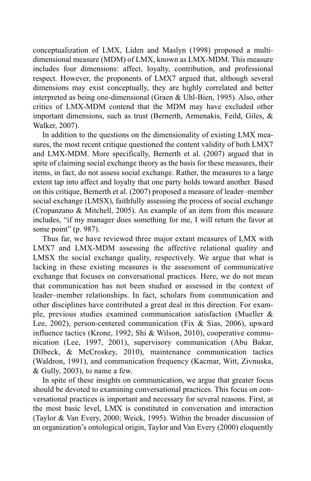conceptualization of LMX, Liden and Maslyn (1998) proposed a multidimensional measure (MDM) of LMX, known as LMX-MDM. This measure includes four dimensions: affect, loyalty, contribution, and professional respect. However, the proponents of LMX7 argued that, although several dimensions may exist conceptually, they are highly correlated and better interpreted as being one-dimensional (Graen & Uhl-Bien, 1995). Also, other critics of LMX-MDM contend that the MDM may have excluded other important dimensions, such as trust (Bernerth, Armenakis, Feild, Giles, & Walker, 2007).

In addition to the questions on the dimensionality of existing LMX measures, the most recent critique questioned the content validity of both LMX7 and LMX-MDM. More specifically, Bernerth et al. (2007) argued that in spite of claiming social exchange theory as the basis for these measures, their items, in fact, do not assess social exchange. Rather, the measures to a large extent tap into affect and loyalty that one party holds toward another. Based on this critique, Bernerth et al. (2007) proposed a measure of leader–member social exchange (LMSX), faithfully assessing the process of social exchange (Cropanzano & Mitchell, 2005). An example of an item from this measure includes, "if my manager does something for me, I will return the favor at some point" (p. 987).

Thus far, we have reviewed three major extant measures of LMX with LMX7 and LMX-MDM assessing the affective relational quality and LMSX the social exchange quality, respectively. We argue that what is lacking in these existing measures is the assessment of communicative exchange that focuses on conversational practices. Here, we do not mean that communication has not been studied or assessed in the context of leader–member relationships. In fact, scholars from communication and other disciplines have contributed a great deal in this direction. For example, previous studies examined communication satisfaction (Mueller & Lee, 2002), person-centered communication (Fix & Sias, 2006), upward influence tactics (Krone, 1992; Shi & Wilson, 2010), cooperative communication (Lee, 1997, 2001), supervisory communication (Abu Bakar, Dilbeck, & McCroskey, 2010), maintenance communication tactics (Waldron, 1991), and communication frequency (Kacmar, Witt, Zivnuska, & Gully, 2003), to name a few.

In spite of these insights on communication, we argue that greater focus should be devoted to examining conversational practices. This focus on conversational practices is important and necessary for several reasons. First, at the most basic level, LMX is constituted in conversation and interaction (Taylor & Van Every, 2000; Weick, 1995). Within the broader discussion of an organization's ontological origin, Taylor and Van Every (2000) eloquently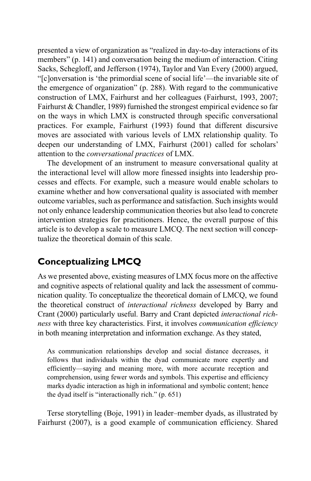presented a view of organization as "realized in day-to-day interactions of its members" (p. 141) and conversation being the medium of interaction. Citing Sacks, Schegloff, and Jefferson (1974), Taylor and Van Every (2000) argued, "[c]onversation is 'the primordial scene of social life'—the invariable site of the emergence of organization" (p. 288). With regard to the communicative construction of LMX, Fairhurst and her colleagues (Fairhurst, 1993, 2007; Fairhurst & Chandler, 1989) furnished the strongest empirical evidence so far on the ways in which LMX is constructed through specific conversational practices. For example, Fairhurst (1993) found that different discursive moves are associated with various levels of LMX relationship quality. To deepen our understanding of LMX, Fairhurst (2001) called for scholars' attention to the *conversational practices* of LMX.

The development of an instrument to measure conversational quality at the interactional level will allow more finessed insights into leadership processes and effects. For example, such a measure would enable scholars to examine whether and how conversational quality is associated with member outcome variables, such as performance and satisfaction. Such insights would not only enhance leadership communication theories but also lead to concrete intervention strategies for practitioners. Hence, the overall purpose of this article is to develop a scale to measure LMCQ. The next section will conceptualize the theoretical domain of this scale.

## **Conceptualizing LMCQ**

As we presented above, existing measures of LMX focus more on the affective and cognitive aspects of relational quality and lack the assessment of communication quality. To conceptualize the theoretical domain of LMCQ, we found the theoretical construct of *interactional richness* developed by Barry and Crant (2000) particularly useful. Barry and Crant depicted *interactional richness* with three key characteristics. First, it involves *communication efficiency* in both meaning interpretation and information exchange. As they stated,

As communication relationships develop and social distance decreases, it follows that individuals within the dyad communicate more expertly and efficiently—saying and meaning more, with more accurate reception and comprehension, using fewer words and symbols. This expertise and efficiency marks dyadic interaction as high in informational and symbolic content; hence the dyad itself is "interactionally rich." (p. 651)

Terse storytelling (Boje, 1991) in leader–member dyads, as illustrated by Fairhurst (2007), is a good example of communication efficiency. Shared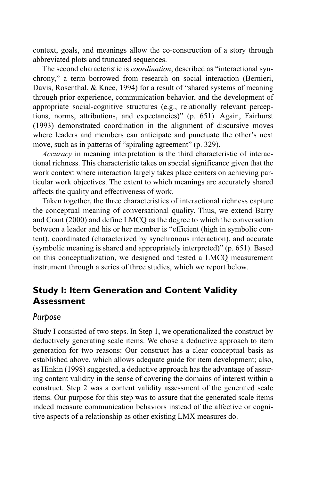context, goals, and meanings allow the co-construction of a story through abbreviated plots and truncated sequences.

The second characteristic is *coordination*, described as "interactional synchrony," a term borrowed from research on social interaction (Bernieri, Davis, Rosenthal, & Knee, 1994) for a result of "shared systems of meaning through prior experience, communication behavior, and the development of appropriate social-cognitive structures (e.g., relationally relevant perceptions, norms, attributions, and expectancies)" (p. 651). Again, Fairhurst (1993) demonstrated coordination in the alignment of discursive moves where leaders and members can anticipate and punctuate the other's next move, such as in patterns of "spiraling agreement" (p. 329).

*Accuracy* in meaning interpretation is the third characteristic of interactional richness. This characteristic takes on special significance given that the work context where interaction largely takes place centers on achieving particular work objectives. The extent to which meanings are accurately shared affects the quality and effectiveness of work.

Taken together, the three characteristics of interactional richness capture the conceptual meaning of conversational quality. Thus, we extend Barry and Crant (2000) and define LMCQ as the degree to which the conversation between a leader and his or her member is "efficient (high in symbolic content), coordinated (characterized by synchronous interaction), and accurate (symbolic meaning is shared and appropriately interpreted)" (p. 651). Based on this conceptualization, we designed and tested a LMCQ measurement instrument through a series of three studies, which we report below.

## **Study I: Item Generation and Content Validity Assessment**

#### *Purpose*

Study I consisted of two steps. In Step 1, we operationalized the construct by deductively generating scale items. We chose a deductive approach to item generation for two reasons: Our construct has a clear conceptual basis as established above, which allows adequate guide for item development; also, as Hinkin (1998) suggested, a deductive approach has the advantage of assuring content validity in the sense of covering the domains of interest within a construct. Step 2 was a content validity assessment of the generated scale items. Our purpose for this step was to assure that the generated scale items indeed measure communication behaviors instead of the affective or cognitive aspects of a relationship as other existing LMX measures do.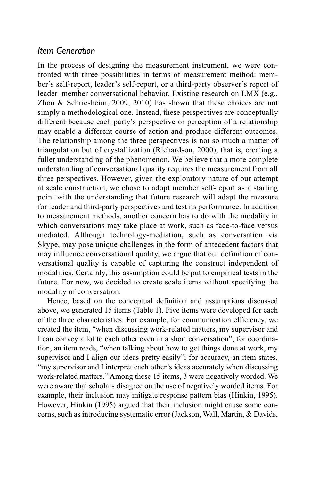#### *Item Generation*

In the process of designing the measurement instrument, we were confronted with three possibilities in terms of measurement method: member's self-report, leader's self-report, or a third-party observer's report of leader–member conversational behavior. Existing research on LMX (e.g., Zhou & Schriesheim, 2009, 2010) has shown that these choices are not simply a methodological one. Instead, these perspectives are conceptually different because each party's perspective or perception of a relationship may enable a different course of action and produce different outcomes. The relationship among the three perspectives is not so much a matter of triangulation but of crystallization (Richardson, 2000), that is, creating a fuller understanding of the phenomenon. We believe that a more complete understanding of conversational quality requires the measurement from all three perspectives. However, given the exploratory nature of our attempt at scale construction, we chose to adopt member self-report as a starting point with the understanding that future research will adapt the measure for leader and third-party perspectives and test its performance. In addition to measurement methods, another concern has to do with the modality in which conversations may take place at work, such as face-to-face versus mediated. Although technology-mediation, such as conversation via Skype, may pose unique challenges in the form of antecedent factors that may influence conversational quality, we argue that our definition of conversational quality is capable of capturing the construct independent of modalities. Certainly, this assumption could be put to empirical tests in the future. For now, we decided to create scale items without specifying the modality of conversation.

Hence, based on the conceptual definition and assumptions discussed above, we generated 15 items (Table 1). Five items were developed for each of the three characteristics. For example, for communication efficiency, we created the item, "when discussing work-related matters, my supervisor and I can convey a lot to each other even in a short conversation"; for coordination, an item reads, "when talking about how to get things done at work, my supervisor and I align our ideas pretty easily"; for accuracy, an item states, "my supervisor and I interpret each other's ideas accurately when discussing work-related matters." Among these 15 items, 3 were negatively worded. We were aware that scholars disagree on the use of negatively worded items. For example, their inclusion may mitigate response pattern bias (Hinkin, 1995). However, Hinkin (1995) argued that their inclusion might cause some concerns, such as introducing systematic error (Jackson, Wall, Martin, & Davids,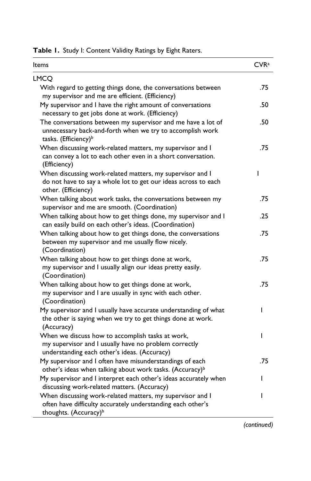| Table 1. Study I: Content Validity Ratings by Eight Raters. |
|-------------------------------------------------------------|
|-------------------------------------------------------------|

| Items                                                                                                                                                         | CVR <sup>a</sup> |
|---------------------------------------------------------------------------------------------------------------------------------------------------------------|------------------|
| <b>LMCO</b>                                                                                                                                                   |                  |
| With regard to getting things done, the conversations between<br>my supervisor and me are efficient. (Efficiency)                                             | .75              |
| My supervisor and I have the right amount of conversations<br>necessary to get jobs done at work. (Efficiency)                                                | .50              |
| The conversations between my supervisor and me have a lot of<br>unnecessary back-and-forth when we try to accomplish work<br>tasks. (Efficiency) <sup>b</sup> | .50              |
| When discussing work-related matters, my supervisor and I<br>can convey a lot to each other even in a short conversation.<br>(Efficiency)                     | .75              |
| When discussing work-related matters, my supervisor and I<br>do not have to say a whole lot to get our ideas across to each<br>other. (Efficiency)            | ı                |
| When talking about work tasks, the conversations between my<br>supervisor and me are smooth. (Coordination)                                                   | .75              |
| When talking about how to get things done, my supervisor and I<br>can easily build on each other's ideas. (Coordination)                                      | .25              |
| When talking about how to get things done, the conversations<br>between my supervisor and me usually flow nicely.<br>(Coordination)                           | .75              |
| When talking about how to get things done at work,<br>my supervisor and I usually align our ideas pretty easily.<br>(Coordination)                            | .75              |
| When talking about how to get things done at work,<br>my supervisor and I are usually in sync with each other.<br>(Coordination)                              | .75              |
| My supervisor and I usually have accurate understanding of what<br>the other is saying when we try to get things done at work.<br>(Accuracy)                  | ı                |
| When we discuss how to accomplish tasks at work,<br>my supervisor and I usually have no problem correctly<br>understanding each other's ideas. (Accuracy)     | I                |
| My supervisor and I often have misunderstandings of each<br>other's ideas when talking about work tasks. (Accuracy) <sup>b</sup>                              | .75              |
| My supervisor and I interpret each other's ideas accurately when<br>discussing work-related matters. (Accuracy)                                               | ı                |
| When discussing work-related matters, my supervisor and I<br>often have difficulty accurately understanding each other's<br>thoughts. (Accuracy) <sup>b</sup> | ı                |

*(continued)*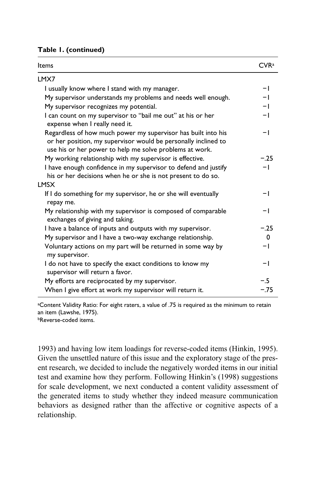|  |  |  | Table I. (continued) |  |
|--|--|--|----------------------|--|
|--|--|--|----------------------|--|

| Items                                                                                                                                                                                      | CVR <sup>a</sup> |
|--------------------------------------------------------------------------------------------------------------------------------------------------------------------------------------------|------------------|
| LMX7                                                                                                                                                                                       |                  |
| I usually know where I stand with my manager.                                                                                                                                              | -1               |
| My supervisor understands my problems and needs well enough.                                                                                                                               | $-1$             |
| My supervisor recognizes my potential.                                                                                                                                                     | $-1$             |
| I can count on my supervisor to "bail me out" at his or her<br>expense when I really need it.                                                                                              | $-1$             |
| Regardless of how much power my supervisor has built into his<br>or her position, my supervisor would be personally inclined to<br>use his or her power to help me solve problems at work. | -1               |
| My working relationship with my supervisor is effective.                                                                                                                                   | $-.25$           |
| I have enough confidence in my supervisor to defend and justify<br>his or her decisions when he or she is not present to do so.                                                            | $-1$             |
| LMSX                                                                                                                                                                                       |                  |
| If I do something for my supervisor, he or she will eventually<br>repay me.                                                                                                                | $-1$             |
| My relationship with my supervisor is composed of comparable<br>exchanges of giving and taking.                                                                                            | -1               |
| I have a balance of inputs and outputs with my supervisor.                                                                                                                                 | $-.25$           |
| My supervisor and I have a two-way exchange relationship.                                                                                                                                  | 0                |
| Voluntary actions on my part will be returned in some way by<br>my supervisor.                                                                                                             | -1               |
| I do not have to specify the exact conditions to know my<br>supervisor will return a favor.                                                                                                | -1               |
| My efforts are reciprocated by my supervisor.                                                                                                                                              | $-.5$            |
| When I give effort at work my supervisor will return it.                                                                                                                                   | $-.75$           |

a Content Validity Ratio: For eight raters, a value of .75 is required as the minimum to retain an item (Lawshe, 1975).

bReverse-coded items.

1993) and having low item loadings for reverse-coded items (Hinkin, 1995). Given the unsettled nature of this issue and the exploratory stage of the present research, we decided to include the negatively worded items in our initial test and examine how they perform. Following Hinkin's (1998) suggestions for scale development, we next conducted a content validity assessment of the generated items to study whether they indeed measure communication behaviors as designed rather than the affective or cognitive aspects of a relationship.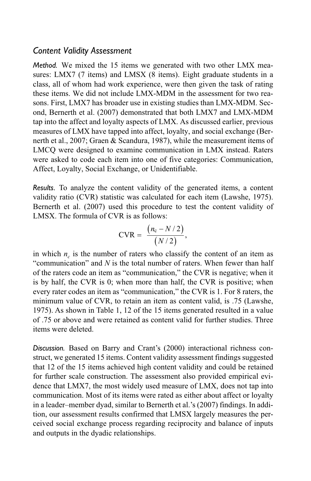#### *Content Validity Assessment*

*Method.* We mixed the 15 items we generated with two other LMX measures: LMX7 (7 items) and LMSX (8 items). Eight graduate students in a class, all of whom had work experience, were then given the task of rating these items. We did not include LMX-MDM in the assessment for two reasons. First, LMX7 has broader use in existing studies than LMX-MDM. Second, Bernerth et al. (2007) demonstrated that both LMX7 and LMX-MDM tap into the affect and loyalty aspects of LMX. As discussed earlier, previous measures of LMX have tapped into affect, loyalty, and social exchange (Bernerth et al., 2007; Graen & Scandura, 1987), while the measurement items of LMCQ were designed to examine communication in LMX instead. Raters were asked to code each item into one of five categories: Communication, Affect, Loyalty, Social Exchange, or Unidentifiable.

*Results.* To analyze the content validity of the generated items, a content validity ratio (CVR) statistic was calculated for each item (Lawshe, 1975). Bernerth et al. (2007) used this procedure to test the content validity of LMSX. The formula of CVR is as follows:

$$
CVR = \frac{(n_c - N/2)}{(N/2)},
$$

in which  $n_c$  is the number of raters who classify the content of an item as "communication" and *N* is the total number of raters. When fewer than half of the raters code an item as "communication," the CVR is negative; when it is by half, the CVR is 0; when more than half, the CVR is positive; when every rater codes an item as "communication," the CVR is 1. For 8 raters, the minimum value of CVR, to retain an item as content valid, is .75 (Lawshe, 1975). As shown in Table 1, 12 of the 15 items generated resulted in a value of .75 or above and were retained as content valid for further studies. Three items were deleted.

*Discussion.* Based on Barry and Crant's (2000) interactional richness construct, we generated 15 items. Content validity assessment findings suggested that 12 of the 15 items achieved high content validity and could be retained for further scale construction. The assessment also provided empirical evidence that LMX7, the most widely used measure of LMX, does not tap into communication. Most of its items were rated as either about affect or loyalty in a leader–member dyad, similar to Bernerth et al.'s (2007) findings. In addition, our assessment results confirmed that LMSX largely measures the perceived social exchange process regarding reciprocity and balance of inputs and outputs in the dyadic relationships.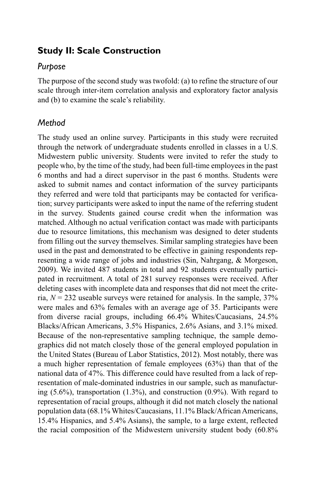## **Study II: Scale Construction**

#### *Purpose*

The purpose of the second study was twofold: (a) to refine the structure of our scale through inter-item correlation analysis and exploratory factor analysis and (b) to examine the scale's reliability.

## *Method*

The study used an online survey. Participants in this study were recruited through the network of undergraduate students enrolled in classes in a U.S. Midwestern public university. Students were invited to refer the study to people who, by the time of the study, had been full-time employees in the past 6 months and had a direct supervisor in the past 6 months. Students were asked to submit names and contact information of the survey participants they referred and were told that participants may be contacted for verification; survey participants were asked to input the name of the referring student in the survey. Students gained course credit when the information was matched. Although no actual verification contact was made with participants due to resource limitations, this mechanism was designed to deter students from filling out the survey themselves. Similar sampling strategies have been used in the past and demonstrated to be effective in gaining respondents representing a wide range of jobs and industries (Sin, Nahrgang, & Morgeson, 2009). We invited 487 students in total and 92 students eventually participated in recruitment. A total of 281 survey responses were received. After deleting cases with incomplete data and responses that did not meet the criteria,  $N = 232$  useable surveys were retained for analysis. In the sample,  $37\%$ were males and 63% females with an average age of 35. Participants were from diverse racial groups, including 66.4% Whites/Caucasians, 24.5% Blacks/African Americans, 3.5% Hispanics, 2.6% Asians, and 3.1% mixed. Because of the non-representative sampling technique, the sample demographics did not match closely those of the general employed population in the United States (Bureau of Labor Statistics, 2012). Most notably, there was a much higher representation of female employees (63%) than that of the national data of 47%. This difference could have resulted from a lack of representation of male-dominated industries in our sample, such as manufacturing  $(5.6\%)$ , transportation  $(1.3\%)$ , and construction  $(0.9\%)$ . With regard to representation of racial groups, although it did not match closely the national population data (68.1% Whites/Caucasians, 11.1% Black/African Americans, 15.4% Hispanics, and 5.4% Asians), the sample, to a large extent, reflected the racial composition of the Midwestern university student body (60.8%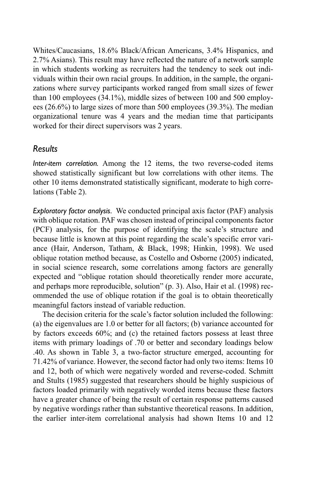Whites/Caucasians, 18.6% Black/African Americans, 3.4% Hispanics, and 2.7% Asians). This result may have reflected the nature of a network sample in which students working as recruiters had the tendency to seek out individuals within their own racial groups. In addition, in the sample, the organizations where survey participants worked ranged from small sizes of fewer than 100 employees (34.1%), middle sizes of between 100 and 500 employees (26.6%) to large sizes of more than 500 employees (39.3%). The median organizational tenure was 4 years and the median time that participants worked for their direct supervisors was 2 years.

#### *Results*

*Inter-item correlation.* Among the 12 items, the two reverse-coded items showed statistically significant but low correlations with other items. The other 10 items demonstrated statistically significant, moderate to high correlations (Table 2).

*Exploratory factor analysis.* We conducted principal axis factor (PAF) analysis with oblique rotation. PAF was chosen instead of principal components factor (PCF) analysis, for the purpose of identifying the scale's structure and because little is known at this point regarding the scale's specific error variance (Hair, Anderson, Tatham, & Black, 1998; Hinkin, 1998). We used oblique rotation method because, as Costello and Osborne (2005) indicated, in social science research, some correlations among factors are generally expected and "oblique rotation should theoretically render more accurate, and perhaps more reproducible, solution" (p. 3). Also, Hair et al. (1998) recommended the use of oblique rotation if the goal is to obtain theoretically meaningful factors instead of variable reduction.

The decision criteria for the scale's factor solution included the following: (a) the eigenvalues are 1.0 or better for all factors; (b) variance accounted for by factors exceeds 60%; and (c) the retained factors possess at least three items with primary loadings of .70 or better and secondary loadings below .40. As shown in Table 3, a two-factor structure emerged, accounting for 71.42% of variance. However, the second factor had only two items: Items 10 and 12, both of which were negatively worded and reverse-coded. Schmitt and Stults (1985) suggested that researchers should be highly suspicious of factors loaded primarily with negatively worded items because these factors have a greater chance of being the result of certain response patterns caused by negative wordings rather than substantive theoretical reasons. In addition, the earlier inter-item correlational analysis had shown Items 10 and 12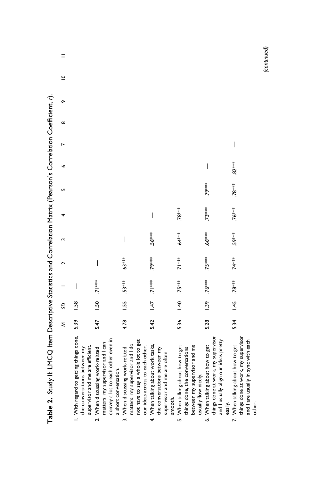| Table 2. Study II: LMCQ Item Descriptive Statistics and Correlation Matrix (Pearson's Correlation Coefficient, r).                          |      |               |                          |                    |              |              |                 |         |          |          |             |  |
|---------------------------------------------------------------------------------------------------------------------------------------------|------|---------------|--------------------------|--------------------|--------------|--------------|-----------------|---------|----------|----------|-------------|--|
|                                                                                                                                             | ξ    | S             |                          | 2                  |              |              | LO <sub>1</sub> | P       | $\infty$ | $\sigma$ | $\subseteq$ |  |
| I. With regard to getting things done,<br>supervisor and me are efficient.<br>the conversations between my                                  | 539  | $\frac{8}{3}$ | $\overline{\phantom{a}}$ |                    |              |              |                 |         |          |          |             |  |
| convey a lot to each other even in<br>matters, my supervisor and I can<br>2. When discussing work-related<br>a short conversation.          | 5.47 | 1.50          | ***!                     | I                  |              |              |                 |         |          |          |             |  |
| not have to say a whole lot to get<br>matters, my supervisor and I do<br>our ideas across to each other.<br>3. When discussing work-related | 4.78 | 1.55          | $53***$                  | $63***$            | I            |              |                 |         |          |          |             |  |
| 4. When talking about work tasks,<br>the conversations between my<br>supervisor and me are often<br>smooth.                                 | 5.42 | 147           | $\frac{1}{2}$            | <b>19***</b>       | 56***        | I            |                 |         |          |          |             |  |
| between my supervisor and me<br>5. When talking about how to get<br>things done, the conversations<br>usually flow nicely.                  | 5.36 | $-1.40$       | $75***$                  | $7$ <sup>***</sup> | $64***$      | 78***        | I               |         |          |          |             |  |
| things done at work, my supervisor<br>and I usually align our ideas pretty<br>6. When talking about how to get<br>easily.                   | 5.28 | 1.39          | $76***$                  | 75***              | $66***$      | $73***$      | 79***           |         |          |          |             |  |
| things done at work, my supervisor<br>and I are usually in sync with each<br>7. When talking about how to get<br>other.                     | 5.34 | 1.45          | <b>78***</b>             | $74***$            | <b>59***</b> | <b>76***</b> | $.78***$        | $82***$ |          |          |             |  |

**Table 2.** Study II: LMCQ Item Descriptive Statistics and Correlation Matrix (Pearson's Correlation Coefficient, *r*). Č منمامس  $C$ Table 2 Study II: IMCO Itam Descriptive Statistics and Correlation Matrix (Pea

*(continued)*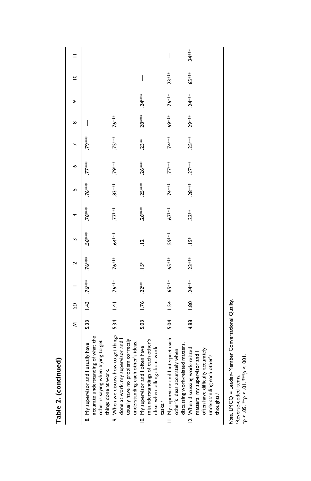| Table 2. (continued)                                                                                                                                         |      |   |                          |          |           |           |         |              |              |                 |          |             |          |
|--------------------------------------------------------------------------------------------------------------------------------------------------------------|------|---|--------------------------|----------|-----------|-----------|---------|--------------|--------------|-----------------|----------|-------------|----------|
|                                                                                                                                                              | ξ    | ຊ |                          | $\sim$   |           |           |         | ۰o           |              | $\infty$        |          | $\subseteq$ |          |
| accurate understanding of what the<br>other is saying when trying to get<br>8. My supervisor and I usually have<br>things done at work.                      |      |   | $5.33$ 1.43 76***        | $76***$  | $.56***$  | $.76***$  | $76***$ | $7^{***}$    | <b>79***</b> | I               |          |             |          |
| 9. When we discuss how to get things<br>done at work, my supervisor and I<br>usually have no problem correctly<br>understanding each other's ideas.          | 5.34 |   | $1.41$ 76 <sup>***</sup> | $76***$  | $64***$   | $7^{***}$ | $83***$ | <b>79***</b> | $75***$      | <b>76***</b>    | $\mid$   |             |          |
| misunderstandings of each other's<br>10. My supervisor and I often have<br>ideas when talking about work<br>tasks. <sup>a</sup>                              | 5.03 |   | $1.76$ $.22***$          | $15*$    | $\vec{a}$ | $.26***$  | $25***$ | $.26***$     | $23**$       | $28***$         | $.24***$ | $\mid$      |          |
| II. My supervisor and I interpret each<br>discussing work-related matters.<br>other's ideas accurately when                                                  | 5.04 |   | $1.54.65***$             | $.65***$ | 59***     | $.67***$  | $74***$ | $77***$      | $74***$      | $5^{***}$       |          | $.23***$    | I        |
| 12. When discussing work-related<br>often have difficulty accurately<br>matters, my supervisor and I<br>understanding each other's<br>thoughts. <sup>a</sup> | 4.88 |   | $1.80$ $24***$           | $.23***$ | $15*$     | $.22***$  | $28***$ | $27***$      | $25***$      | $29***$ $24***$ |          | $.65***$    | $.24***$ |

Note. LMCQ = Leader-Member Conversational Quality.<br>\*Reverse-coded items.<br>\*p < .05. \*\*p < .01. \*\*\*p < .001. *Note.* LMCQ = Leader–Member Conversational Quality. aReverse-coded items.

\**p* < .05. \*\**p* < .01. \*\*\**p* < .001.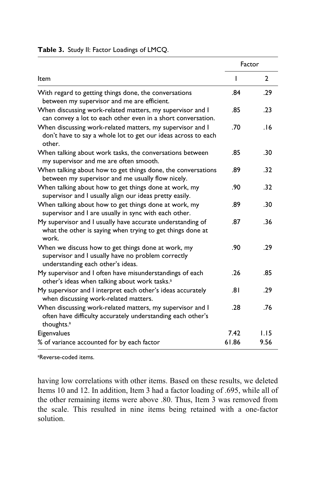|                                                                                                                                                    |       | Factor       |
|----------------------------------------------------------------------------------------------------------------------------------------------------|-------|--------------|
| Item                                                                                                                                               | ı     | $\mathbf{2}$ |
| With regard to getting things done, the conversations<br>between my supervisor and me are efficient.                                               | .84   | .29          |
| When discussing work-related matters, my supervisor and I<br>can convey a lot to each other even in a short conversation.                          | .85   | .23          |
| When discussing work-related matters, my supervisor and I<br>don't have to say a whole lot to get our ideas across to each<br>other.               | .70   | .16          |
| When talking about work tasks, the conversations between<br>my supervisor and me are often smooth.                                                 | .85   | .30          |
| When talking about how to get things done, the conversations<br>between my supervisor and me usually flow nicely.                                  | .89   | .32          |
| When talking about how to get things done at work, my<br>supervisor and I usually align our ideas pretty easily.                                   | .90   | .32          |
| When talking about how to get things done at work, my<br>supervisor and I are usually in sync with each other.                                     | .89   | .30          |
| My supervisor and I usually have accurate understanding of<br>what the other is saying when trying to get things done at<br>work.                  | .87   | .36          |
| When we discuss how to get things done at work, my<br>supervisor and I usually have no problem correctly<br>understanding each other's ideas.      | .90   | .29          |
| My supervisor and I often have misunderstandings of each<br>other's ideas when talking about work tasks. <sup>a</sup>                              | .26   | .85          |
| My supervisor and I interpret each other's ideas accurately<br>when discussing work-related matters.                                               | .81   | .29          |
| When discussing work-related matters, my supervisor and I<br>often have difficulty accurately understanding each other's<br>thoughts. <sup>a</sup> | .28   | .76          |
| Eigenvalues                                                                                                                                        | 7.42  | 1.15         |
| % of variance accounted for by each factor                                                                                                         | 61.86 | 9.56         |

**Table 3.** Study II: Factor Loadings of LMCQ.

a Reverse-coded items.

having low correlations with other items. Based on these results, we deleted Items 10 and 12. In addition, Item 3 had a factor loading of .695, while all of the other remaining items were above .80. Thus, Item 3 was removed from the scale. This resulted in nine items being retained with a one-factor solution.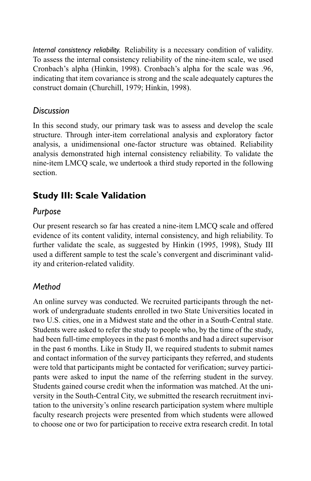*Internal consistency reliability.* Reliability is a necessary condition of validity. To assess the internal consistency reliability of the nine-item scale, we used Cronbach's alpha (Hinkin, 1998). Cronbach's alpha for the scale was .96, indicating that item covariance is strong and the scale adequately captures the construct domain (Churchill, 1979; Hinkin, 1998).

#### *Discussion*

In this second study, our primary task was to assess and develop the scale structure. Through inter-item correlational analysis and exploratory factor analysis, a unidimensional one-factor structure was obtained. Reliability analysis demonstrated high internal consistency reliability. To validate the nine-item LMCQ scale, we undertook a third study reported in the following section.

## **Study III: Scale Validation**

## *Purpose*

Our present research so far has created a nine-item LMCQ scale and offered evidence of its content validity, internal consistency, and high reliability. To further validate the scale, as suggested by Hinkin (1995, 1998), Study III used a different sample to test the scale's convergent and discriminant validity and criterion-related validity.

## *Method*

An online survey was conducted. We recruited participants through the network of undergraduate students enrolled in two State Universities located in two U.S. cities, one in a Midwest state and the other in a South-Central state. Students were asked to refer the study to people who, by the time of the study, had been full-time employees in the past 6 months and had a direct supervisor in the past 6 months. Like in Study II, we required students to submit names and contact information of the survey participants they referred, and students were told that participants might be contacted for verification; survey participants were asked to input the name of the referring student in the survey. Students gained course credit when the information was matched. At the university in the South-Central City, we submitted the research recruitment invitation to the university's online research participation system where multiple faculty research projects were presented from which students were allowed to choose one or two for participation to receive extra research credit. In total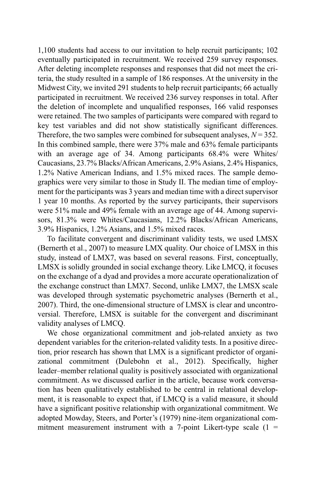1,100 students had access to our invitation to help recruit participants; 102 eventually participated in recruitment. We received 259 survey responses. After deleting incomplete responses and responses that did not meet the criteria, the study resulted in a sample of 186 responses. At the university in the Midwest City, we invited 291 students to help recruit participants; 66 actually participated in recruitment. We received 236 survey responses in total. After the deletion of incomplete and unqualified responses, 166 valid responses were retained. The two samples of participants were compared with regard to key test variables and did not show statistically significant differences. Therefore, the two samples were combined for subsequent analyses,  $N = 352$ . In this combined sample, there were 37% male and 63% female participants with an average age of 34. Among participants 68.4% were Whites/ Caucasians, 23.7% Blacks/African Americans, 2.9% Asians, 2.4% Hispanics, 1.2% Native American Indians, and 1.5% mixed races. The sample demographics were very similar to those in Study II. The median time of employment for the participants was 3 years and median time with a direct supervisor 1 year 10 months. As reported by the survey participants, their supervisors were 51% male and 49% female with an average age of 44. Among supervisors, 81.3% were Whites/Caucasians, 12.2% Blacks/African Americans, 3.9% Hispanics, 1.2% Asians, and 1.5% mixed races.

To facilitate convergent and discriminant validity tests, we used LMSX (Bernerth et al., 2007) to measure LMX quality. Our choice of LMSX in this study, instead of LMX7, was based on several reasons. First, conceptually, LMSX is solidly grounded in social exchange theory. Like LMCQ, it focuses on the exchange of a dyad and provides a more accurate operationalization of the exchange construct than LMX7. Second, unlike LMX7, the LMSX scale was developed through systematic psychometric analyses (Bernerth et al., 2007). Third, the one-dimensional structure of LMSX is clear and uncontroversial. Therefore, LMSX is suitable for the convergent and discriminant validity analyses of LMCQ.

We chose organizational commitment and job-related anxiety as two dependent variables for the criterion-related validity tests. In a positive direction, prior research has shown that LMX is a significant predictor of organizational commitment (Dulebohn et al., 2012). Specifically, higher leader–member relational quality is positively associated with organizational commitment. As we discussed earlier in the article, because work conversation has been qualitatively established to be central in relational development, it is reasonable to expect that, if LMCQ is a valid measure, it should have a significant positive relationship with organizational commitment. We adopted Mowday, Steers, and Porter's (1979) nine-item organizational commitment measurement instrument with a 7-point Likert-type scale  $(1 =$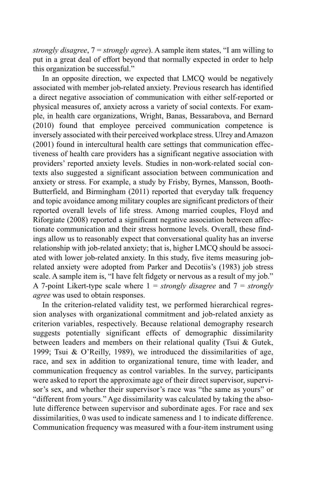*strongly disagree*, 7 = *strongly agree*). A sample item states, "I am willing to put in a great deal of effort beyond that normally expected in order to help this organization be successful."

In an opposite direction, we expected that LMCQ would be negatively associated with member job-related anxiety. Previous research has identified a direct negative association of communication with either self-reported or physical measures of, anxiety across a variety of social contexts. For example, in health care organizations, Wright, Banas, Bessarabova, and Bernard (2010) found that employee perceived communication competence is inversely associated with their perceived workplace stress. Ulrey and Amazon (2001) found in intercultural health care settings that communication effectiveness of health care providers has a significant negative association with providers' reported anxiety levels. Studies in non-work-related social contexts also suggested a significant association between communication and anxiety or stress. For example, a study by Frisby, Byrnes, Mansson, Booth-Butterfield, and Birmingham (2011) reported that everyday talk frequency and topic avoidance among military couples are significant predictors of their reported overall levels of life stress. Among married couples, Floyd and Riforgiate (2008) reported a significant negative association between affectionate communication and their stress hormone levels. Overall, these findings allow us to reasonably expect that conversational quality has an inverse relationship with job-related anxiety; that is, higher LMCQ should be associated with lower job-related anxiety. In this study, five items measuring jobrelated anxiety were adopted from Parker and Decotiis's (1983) job stress scale. A sample item is, "I have felt fidgety or nervous as a result of my job." A 7-point Likert-type scale where  $1 =$  *strongly disagree* and  $7 =$  *strongly agree* was used to obtain responses.

In the criterion-related validity test, we performed hierarchical regression analyses with organizational commitment and job-related anxiety as criterion variables, respectively. Because relational demography research suggests potentially significant effects of demographic dissimilarity between leaders and members on their relational quality (Tsui & Gutek, 1999; Tsui & O'Reilly, 1989), we introduced the dissimilarities of age, race, and sex in addition to organizational tenure, time with leader, and communication frequency as control variables. In the survey, participants were asked to report the approximate age of their direct supervisor, supervisor's sex, and whether their supervisor's race was "the same as yours" or "different from yours." Age dissimilarity was calculated by taking the absolute difference between supervisor and subordinate ages. For race and sex dissimilarities, 0 was used to indicate sameness and 1 to indicate difference. Communication frequency was measured with a four-item instrument using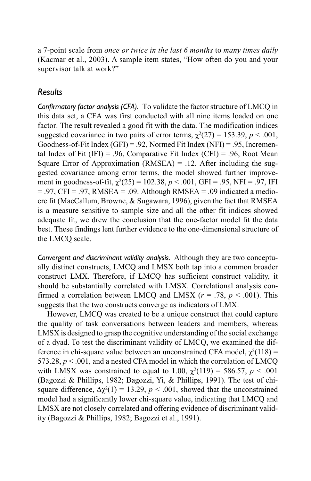a 7-point scale from *once or twice in the last 6 months* to *many times daily* (Kacmar et al., 2003). A sample item states, "How often do you and your supervisor talk at work?"

#### *Results*

*Confirmatory factor analysis (CFA).* To validate the factor structure of LMCQ in this data set, a CFA was first conducted with all nine items loaded on one factor. The result revealed a good fit with the data. The modification indices suggested covariance in two pairs of error terms,  $\gamma^2(27) = 153.39$ ,  $p < .001$ , Goodness-of-Fit Index  $(GFI) = .92$ , Normed Fit Index  $(NFI) = .95$ , Incremental Index of Fit (IFI) = .96, Comparative Fit Index (CFI) = .96, Root Mean Square Error of Approximation (RMSEA) =  $.12$ . After including the suggested covariance among error terms, the model showed further improvement in goodness-of-fit,  $\gamma^2(25) = 102.38$ ,  $p < .001$ , GFI = .95, NFI = .97, IFI  $= .97$ , CFI = .97, RMSEA = .09. Although RMSEA = .09 indicated a mediocre fit (MacCallum, Browne, & Sugawara, 1996), given the fact that RMSEA is a measure sensitive to sample size and all the other fit indices showed adequate fit, we drew the conclusion that the one-factor model fit the data best. These findings lent further evidence to the one-dimensional structure of the LMCQ scale.

*Convergent and discriminant validity analysis.* Although they are two conceptually distinct constructs, LMCQ and LMSX both tap into a common broader construct LMX. Therefore, if LMCQ has sufficient construct validity, it should be substantially correlated with LMSX. Correlational analysis confirmed a correlation between LMCQ and LMSX  $(r = .78, p < .001)$ . This suggests that the two constructs converge as indicators of LMX.

However, LMCQ was created to be a unique construct that could capture the quality of task conversations between leaders and members, whereas LMSX is designed to grasp the cognitive understanding of the social exchange of a dyad. To test the discriminant validity of LMCQ, we examined the difference in chi-square value between an unconstrained CFA model,  $\chi^2(118)$  = 573.28, *p* < .001, and a nested CFA model in which the correlation of LMCQ with LMSX was constrained to equal to 1.00,  $\chi^2(119) = 586.57$ ,  $p < .001$ (Bagozzi & Phillips, 1982; Bagozzi, Yi, & Phillips, 1991). The test of chisquare difference,  $\Delta \chi^2(1) = 13.29$ ,  $p < .001$ , showed that the unconstrained model had a significantly lower chi-square value, indicating that LMCQ and LMSX are not closely correlated and offering evidence of discriminant validity (Bagozzi & Phillips, 1982; Bagozzi et al., 1991).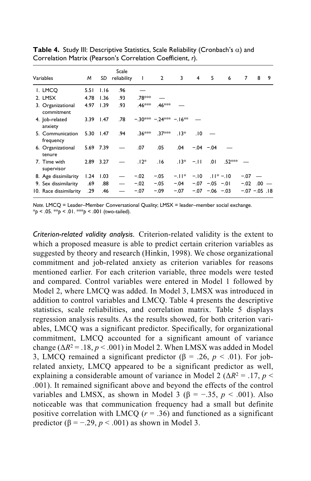| Variables                       | м    | SD        | Scale<br>reliability | ı        | $\overline{2}$        | 3      | $\overline{4}$ | 5                   | 6            | 7      | 8                  | 9 |
|---------------------------------|------|-----------|----------------------|----------|-----------------------|--------|----------------|---------------------|--------------|--------|--------------------|---|
| I. LMCO                         | 5.51 | 1.16      | .96                  |          |                       |        |                |                     |              |        |                    |   |
| 2. LMSX                         | 4.78 | 1.36      | .93                  | .78 ***  |                       |        |                |                     |              |        |                    |   |
| 3. Organizational<br>commitment | 4.97 | 1.39      | .93                  | .46***   | .46 <sup>***</sup>    |        |                |                     |              |        |                    |   |
| 4. Job-related<br>anxiety       |      | 3.39 1.47 | .78                  |          | $-30*** -24*** -16**$ |        |                |                     |              |        |                    |   |
| 5. Communication<br>frequency   |      | 5.30 1.47 | .94                  | $.36***$ | $.37***$              | $.13*$ | .10            |                     |              |        |                    |   |
| 6. Organizational<br>tenure     |      | 5.69 7.39 |                      | .07      | .05                   | .04    |                | $-0.04 - 0.04$      |              |        |                    |   |
| 7. Time with<br>supervisor      |      | 2.89 3.27 |                      | $.12*$   | .16                   | $.13*$ | $-11$          | .01                 | .52***       |        |                    |   |
| 8. Age dissimilarity            | 1.24 | 1.03      |                      | $-.02$   | $-.05$                | $-11*$ | $-.10$         |                     | $.11* - .10$ | $-.07$ |                    |   |
| 9. Sex dissimilarity            | .69  | .88       |                      | $-.02$   | $-.05$                | $-.04$ |                | $-0.07 -0.05 -0.01$ |              | $-.02$ | .00                |   |
| 10. Race dissimilarity          | .29  | .46       |                      | $-.07$   | $-.09$                | $-.07$ |                | $-07 - 06 - 03$     |              |        | $-0.07 - 0.05$ .18 |   |

**Table 4.** Study III: Descriptive Statistics, Scale Reliability (Cronbach's  $\alpha$ ) and Correlation Matrix (Pearson's Correlation Coefficient, *r*).

*Note.* LMCQ = Leader–Member Conversational Quality; LMSX = leader–member social exchange. \**p* < .05. \*\**p* < .01. \*\*\**p* < .001 (two-tailed).

*Criterion-related validity analysis.* Criterion-related validity is the extent to which a proposed measure is able to predict certain criterion variables as suggested by theory and research (Hinkin, 1998). We chose organizational commitment and job-related anxiety as criterion variables for reasons mentioned earlier. For each criterion variable, three models were tested and compared. Control variables were entered in Model 1 followed by Model 2, where LMCQ was added. In Model 3, LMSX was introduced in addition to control variables and LMCQ. Table 4 presents the descriptive statistics, scale reliabilities, and correlation matrix. Table 5 displays regression analysis results. As the results showed, for both criterion variables, LMCQ was a significant predictor. Specifically, for organizational commitment, LMCQ accounted for a significant amount of variance change ( $\Delta R^2$  = .18, *p* < .001) in Model 2. When LMSX was added in Model 3, LMCQ remained a significant predictor ( $\beta$  = .26,  $p < .01$ ). For jobrelated anxiety, LMCQ appeared to be a significant predictor as well, explaining a considerable amount of variance in Model 2 ( $\Delta R^2$  = .17, *p* < .001). It remained significant above and beyond the effects of the control variables and LMSX, as shown in Model 3 ( $\beta$  = -.35, *p* < .001). Also noticeable was that communication frequency had a small but definite positive correlation with LMCQ ( $r = .36$ ) and functioned as a significant predictor ( $\beta = -0.29$ ,  $p < 0.001$ ) as shown in Model 3.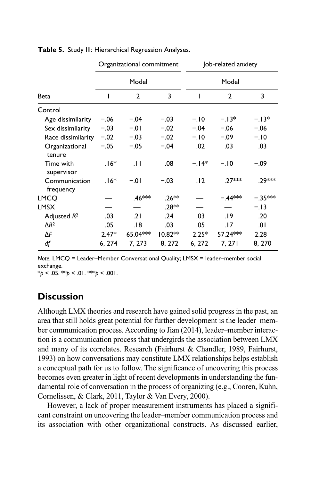|                            |         | Organizational commitment |           | Job-related anxiety |                    |           |  |  |
|----------------------------|---------|---------------------------|-----------|---------------------|--------------------|-----------|--|--|
|                            |         | Model                     |           |                     | Model              |           |  |  |
| Beta                       | ı       | $\mathbf{2}$              | 3         | ı                   | 2                  | 3         |  |  |
| Control                    |         |                           |           |                     |                    |           |  |  |
| Age dissimilarity          | $-.06$  | $-.04$                    | $-.03$    | $-.10$              | $-13*$             | $-.13*$   |  |  |
| Sex dissimilarity          | $-.03$  | $-.01$                    | $-.02$    | $-.04$              | $-.06$             | $-.06$    |  |  |
| Race dissimilarity         | $-.02$  | $-.03$                    | $-.02$    | $-.10$              | $-.09$             | $-.10$    |  |  |
| Organizational<br>tenure   | $-.05$  | $-.05$                    | $-.04$    | .02                 | .03                | .03       |  |  |
| Time with<br>supervisor    | $.16*$  | $\pm$                     | .08       | $-14*$              | $-.10$             | $-.09$    |  |  |
| Communication<br>frequency | $.16*$  | $-.01$                    | $-.03$    | .12                 | .27 <sup>***</sup> | .29***    |  |  |
| <b>LMCO</b>                |         | .46 <sup>***</sup>        | $.26**$   |                     | $-.44***$          | $-.35***$ |  |  |
| <b>LMSX</b>                |         |                           | .28**     |                     |                    | $-.13$    |  |  |
| Adjusted $R^2$             | .03     | .21                       | .24       | .03                 | .19                | .20       |  |  |
| $\Delta R^2$               | .05     | 18.                       | .03       | .05                 | .17                | .01       |  |  |
| ΔF                         | $2.47*$ | 65.04***                  | $10.82**$ | $2.25*$             | 57.24***           | 2.28      |  |  |
| df                         | 6, 274  | 7, 273                    | 8, 272    | 6, 272              | 7, 271             | 8, 270    |  |  |

|  |  | Table 5. Study III: Hierarchical Regression Analyses. |  |  |
|--|--|-------------------------------------------------------|--|--|
|--|--|-------------------------------------------------------|--|--|

*Note.* LMCQ = Leader–Member Conversational Quality; LMSX = leader–member social exchange.

\**p* < .05. \*\**p* < .01. \*\*\**p* < .001.

#### **Discussion**

Although LMX theories and research have gained solid progress in the past, an area that still holds great potential for further development is the leader–member communication process. According to Jian (2014), leader–member interaction is a communication process that undergirds the association between LMX and many of its correlates. Research (Fairhurst & Chandler, 1989, Fairhurst, 1993) on how conversations may constitute LMX relationships helps establish a conceptual path for us to follow. The significance of uncovering this process becomes even greater in light of recent developments in understanding the fundamental role of conversation in the process of organizing (e.g., Cooren, Kuhn, Cornelissen, & Clark, 2011, Taylor & Van Every, 2000).

However, a lack of proper measurement instruments has placed a significant constraint on uncovering the leader–member communication process and its association with other organizational constructs. As discussed earlier,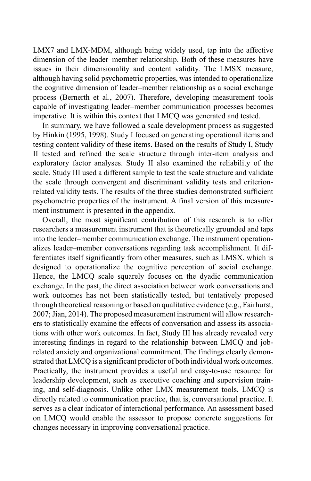LMX7 and LMX-MDM, although being widely used, tap into the affective dimension of the leader–member relationship. Both of these measures have issues in their dimensionality and content validity. The LMSX measure, although having solid psychometric properties, was intended to operationalize the cognitive dimension of leader–member relationship as a social exchange process (Bernerth et al., 2007). Therefore, developing measurement tools capable of investigating leader–member communication processes becomes imperative. It is within this context that LMCQ was generated and tested.

In summary, we have followed a scale development process as suggested by Hinkin (1995, 1998). Study I focused on generating operational items and testing content validity of these items. Based on the results of Study I, Study II tested and refined the scale structure through inter-item analysis and exploratory factor analyses. Study II also examined the reliability of the scale. Study III used a different sample to test the scale structure and validate the scale through convergent and discriminant validity tests and criterionrelated validity tests. The results of the three studies demonstrated sufficient psychometric properties of the instrument. A final version of this measurement instrument is presented in the appendix.

Overall, the most significant contribution of this research is to offer researchers a measurement instrument that is theoretically grounded and taps into the leader–member communication exchange. The instrument operationalizes leader–member conversations regarding task accomplishment. It differentiates itself significantly from other measures, such as LMSX, which is designed to operationalize the cognitive perception of social exchange. Hence, the LMCQ scale squarely focuses on the dyadic communication exchange. In the past, the direct association between work conversations and work outcomes has not been statistically tested, but tentatively proposed through theoretical reasoning or based on qualitative evidence (e.g., Fairhurst, 2007; Jian, 2014). The proposed measurement instrument will allow researchers to statistically examine the effects of conversation and assess its associations with other work outcomes. In fact, Study III has already revealed very interesting findings in regard to the relationship between LMCQ and jobrelated anxiety and organizational commitment. The findings clearly demonstrated that LMCQ is a significant predictor of both individual work outcomes. Practically, the instrument provides a useful and easy-to-use resource for leadership development, such as executive coaching and supervision training, and self-diagnosis. Unlike other LMX measurement tools, LMCQ is directly related to communication practice, that is, conversational practice. It serves as a clear indicator of interactional performance. An assessment based on LMCQ would enable the assessor to propose concrete suggestions for changes necessary in improving conversational practice.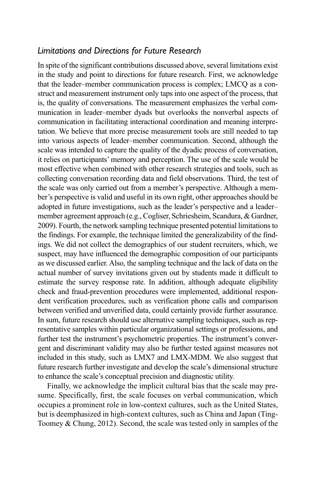#### *Limitations and Directions for Future Research*

In spite of the significant contributions discussed above, several limitations exist in the study and point to directions for future research. First, we acknowledge that the leader–member communication process is complex; LMCQ as a construct and measurement instrument only taps into one aspect of the process, that is, the quality of conversations. The measurement emphasizes the verbal communication in leader–member dyads but overlooks the nonverbal aspects of communication in facilitating interactional coordination and meaning interpretation. We believe that more precise measurement tools are still needed to tap into various aspects of leader–member communication. Second, although the scale was intended to capture the quality of the dyadic process of conversation, it relies on participants' memory and perception. The use of the scale would be most effective when combined with other research strategies and tools, such as collecting conversation recording data and field observations. Third, the test of the scale was only carried out from a member's perspective. Although a member's perspective is valid and useful in its own right, other approaches should be adopted in future investigations, such as the leader's perspective and a leader– member agreement approach (e.g., Cogliser, Schriesheim, Scandura, & Gardner, 2009). Fourth, the network sampling technique presented potential limitations to the findings. For example, the technique limited the generalizability of the findings. We did not collect the demographics of our student recruiters, which, we suspect, may have influenced the demographic composition of our participants as we discussed earlier. Also, the sampling technique and the lack of data on the actual number of survey invitations given out by students made it difficult to estimate the survey response rate. In addition, although adequate eligibility check and fraud-prevention procedures were implemented, additional respondent verification procedures, such as verification phone calls and comparison between verified and unverified data, could certainly provide further assurance. In sum, future research should use alternative sampling techniques, such as representative samples within particular organizational settings or professions, and further test the instrument's psychometric properties. The instrument's convergent and discriminant validity may also be further tested against measures not included in this study, such as LMX7 and LMX-MDM. We also suggest that future research further investigate and develop the scale's dimensional structure to enhance the scale's conceptual precision and diagnostic utility.

Finally, we acknowledge the implicit cultural bias that the scale may presume. Specifically, first, the scale focuses on verbal communication, which occupies a prominent role in low-context cultures, such as the United States, but is deemphasized in high-context cultures, such as China and Japan (Ting-Toomey & Chung, 2012). Second, the scale was tested only in samples of the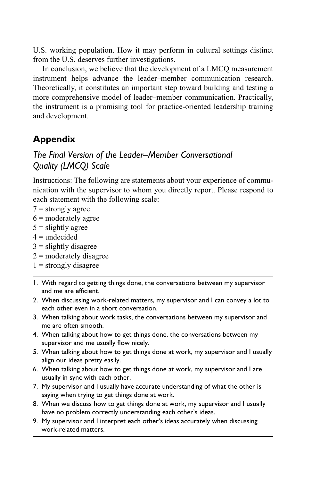U.S. working population. How it may perform in cultural settings distinct from the U.S. deserves further investigations.

In conclusion, we believe that the development of a LMCQ measurement instrument helps advance the leader–member communication research. Theoretically, it constitutes an important step toward building and testing a more comprehensive model of leader–member communication. Practically, the instrument is a promising tool for practice-oriented leadership training and development.

## **Appendix**

## *The Final Version of the Leader–Member Conversational Quality (LMCQ) Scale*

Instructions: The following are statements about your experience of communication with the supervisor to whom you directly report. Please respond to each statement with the following scale:

- $7 =$  strongly agree
- $6$  = moderately agree
- $5 =$  slightly agree
- $4 =$ undecided
- $3$  = slightly disagree
- $2 =$  moderately disagree
- $1 =$  strongly disagree
- 1. With regard to getting things done, the conversations between my supervisor and me are efficient.
- 2. When discussing work-related matters, my supervisor and I can convey a lot to each other even in a short conversation.
- 3. When talking about work tasks, the conversations between my supervisor and me are often smooth.
- 4. When talking about how to get things done, the conversations between my supervisor and me usually flow nicely.
- 5. When talking about how to get things done at work, my supervisor and I usually align our ideas pretty easily.
- 6. When talking about how to get things done at work, my supervisor and I are usually in sync with each other.
- 7. My supervisor and I usually have accurate understanding of what the other is saying when trying to get things done at work.
- 8. When we discuss how to get things done at work, my supervisor and I usually have no problem correctly understanding each other's ideas.
- 9. My supervisor and I interpret each other's ideas accurately when discussing work-related matters.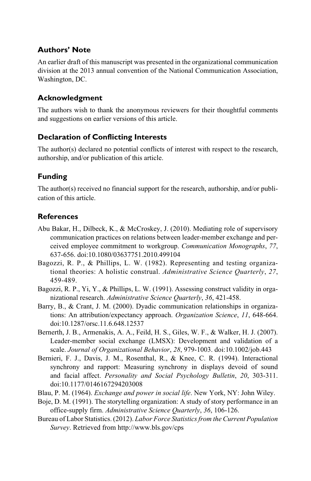#### **Authors' Note**

An earlier draft of this manuscript was presented in the organizational communication division at the 2013 annual convention of the National Communication Association, Washington, DC.

#### **Acknowledgment**

The authors wish to thank the anonymous reviewers for their thoughtful comments and suggestions on earlier versions of this article.

#### **Declaration of Conflicting Interests**

The author(s) declared no potential conflicts of interest with respect to the research, authorship, and/or publication of this article.

#### **Funding**

The author(s) received no financial support for the research, authorship, and/or publication of this article.

#### **References**

- Abu Bakar, H., Dilbeck, K., & McCroskey, J. (2010). Mediating role of supervisory communication practices on relations between leader-member exchange and perceived employee commitment to workgroup. *Communication Monographs*, *77*, 637-656. doi:10.1080/03637751.2010.499104
- Bagozzi, R. P., & Phillips, L. W. (1982). Representing and testing organizational theories: A holistic construal. *Administrative Science Quarterly*, *27*, 459-489.
- Bagozzi, R. P., Yi, Y., & Phillips, L. W. (1991). Assessing construct validity in organizational research. *Administrative Science Quarterly*, *36*, 421-458.
- Barry, B., & Crant, J. M. (2000). Dyadic communication relationships in organizations: An attribution/expectancy approach. *Organization Science*, *11*, 648-664. doi:10.1287/orsc.11.6.648.12537
- Bernerth, J. B., Armenakis, A. A., Feild, H. S., Giles, W. F., & Walker, H. J. (2007). Leader-member social exchange (LMSX): Development and validation of a scale. *Journal of Organizational Behavior*, *28*, 979-1003. doi:10.1002/job.443
- Bernieri, F. J., Davis, J. M., Rosenthal, R., & Knee, C. R. (1994). Interactional synchrony and rapport: Measuring synchrony in displays devoid of sound and facial affect. *Personality and Social Psychology Bulletin*, *20*, 303-311. doi:10.1177/0146167294203008
- Blau, P. M. (1964). *Exchange and power in social life*. New York, NY: John Wiley.
- Boje, D. M. (1991). The storytelling organization: A study of story performance in an office-supply firm. *Administrative Science Quarterly*, *36*, 106-126.
- Bureau of Labor Statistics. (2012). *Labor Force Statistics from the Current Population Survey*. Retrieved from <http://www.bls.gov/cps>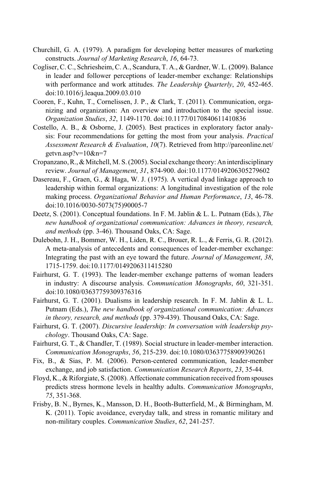- Churchill, G. A. (1979). A paradigm for developing better measures of marketing constructs. *Journal of Marketing Research*, *16*, 64-73.
- Cogliser, C. C., Schriesheim, C. A., Scandura, T. A., & Gardner, W. L. (2009). Balance in leader and follower perceptions of leader-member exchange: Relationships with performance and work attitudes. *The Leadership Quarterly*, *20*, 452-465. doi:10.1016/j.leaqua.2009.03.010
- Cooren, F., Kuhn, T., Cornelissen, J. P., & Clark, T. (2011). Communication, organizing and organization: An overview and introduction to the special issue. *Organization Studies*, *32*, 1149-1170. doi:10.1177/0170840611410836
- Costello, A. B., & Osborne, J. (2005). Best practices in exploratory factor analysis: Four recommendations for getting the most from your analysis. *Practical Assessment Research & Evaluation*, *10*(7). Retrieved from [http://pareonline.net/](http://pareonline.net/getvn.asp?v=10&n=7) [getvn.asp?v=10&n=7](http://pareonline.net/getvn.asp?v=10&n=7)
- Cropanzano, R., & Mitchell, M. S. (2005). Social exchange theory: An interdisciplinary review. *Journal of Management*, *31*, 874-900. doi:10.1177/0149206305279602
- Dasereau, F., Graen, G., & Haga, W. J. (1975). A vertical dyad linkage approach to leadership within formal organizations: A longitudinal investigation of the role making process. *Organizational Behavior and Human Performance*, *13*, 46-78. doi:10.1016/0030-5073(75)90005-7
- Deetz, S. (2001). Conceptual foundations. In F. M. Jablin & L. L. Putnam (Eds.), *The new handbook of organizational communication: Advances in theory, research, and methods* (pp. 3-46). Thousand Oaks, CA: Sage.
- Dulebohn, J. H., Bommer, W. H., Liden, R. C., Brouer, R. L., & Ferris, G. R. (2012). A meta-analysis of antecedents and consequences of leader-member exchange: Integrating the past with an eye toward the future. *Journal of Management*, *38*, 1715-1759. doi:10.1177/0149206311415280
- Fairhurst, G. T. (1993). The leader-member exchange patterns of woman leaders in industry: A discourse analysis. *Communication Monographs*, *60*, 321-351. doi:10.1080/03637759309376316
- Fairhurst, G. T. (2001). Dualisms in leadership research. In F. M. Jablin & L. L. Putnam (Eds.), *The new handbook of organizational communication: Advances in theory, research, and methods* (pp. 379-439). Thousand Oaks, CA: Sage.
- Fairhurst, G. T. (2007). *Discursive leadership: In conversation with leadership psychology*. Thousand Oaks, CA: Sage.
- Fairhurst, G. T., & Chandler, T. (1989). Social structure in leader-member interaction. *Communication Monographs*, *56*, 215-239. doi:10.1080/03637758909390261
- Fix, B., & Sias, P. M. (2006). Person-centered communication, leader-member exchange, and job satisfaction. *Communication Research Reports*, *23*, 35-44.
- Floyd, K., & Riforgiate, S. (2008). Affectionate communication received from spouses predicts stress hormone levels in healthy adults. *Communication Monographs*, *75*, 351-368.
- Frisby, B. N., Byrnes, K., Mansson, D. H., Booth-Butterfield, M., & Birmingham, M. K. (2011). Topic avoidance, everyday talk, and stress in romantic military and non-military couples. *Communication Studies*, *62*, 241-257.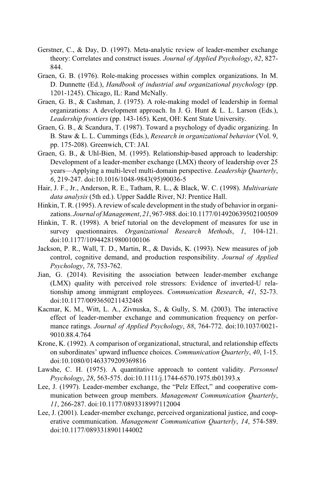- Gerstner, C., & Day, D. (1997). Meta-analytic review of leader-member exchange theory: Correlates and construct issues. *Journal of Applied Psychology*, *82*, 827- 844.
- Graen, G. B. (1976). Role-making processes within complex organizations. In M. D. Dunnette (Ed.), *Handbook of industrial and organizational psychology* (pp. 1201-1245). Chicago, IL: Rand McNally.
- Graen, G. B., & Cashman, J. (1975). A role-making model of leadership in formal organizations: A development approach. In J. G. Hunt & L. L. Larson (Eds.), *Leadership frontiers* (pp. 143-165). Kent, OH: Kent State University.
- Graen, G. B., & Scandura, T. (1987). Toward a psychology of dyadic organizing. In B. Staw & L. L. Cummings (Eds.), *Research in organizational behavior* (Vol. 9, pp. 175-208). Greenwich, CT: JAI.
- Graen, G. B., & Uhl-Bien, M. (1995). Relationship-based approach to leadership: Development of a leader-member exchange (LMX) theory of leadership over 25 years—Applying a multi-level multi-domain perspective. *Leadership Quarterly*, *6*, 219-247. doi:10.1016/1048-9843(95)90036-5
- Hair, J. F., Jr., Anderson, R. E., Tatham, R. L., & Black, W. C. (1998). *Multivariate data analysis* (5th ed.). Upper Saddle River, NJ: Prentice Hall.
- Hinkin, T. R. (1995). A review of scale development in the study of behavior in organizations. *Journal of Management*, *21*, 967-988. doi:10.1177/014920639502100509
- Hinkin, T. R. (1998). A brief tutorial on the development of measures for use in survey questionnaires. *Organizational Research Methods*, *1*, 104-121. doi:10.1177/109442819800100106
- Jackson, P. R., Wall, T. D., Martin, R., & Davids, K. (1993). New measures of job control, cognitive demand, and production responsibility. *Journal of Applied Psychology*, *78*, 753-762.
- Jian, G. (2014). Revisiting the association between leader-member exchange (LMX) quality with perceived role stressors: Evidence of inverted-U relationship among immigrant employees. *Communication Research*, *41*, 52-73. doi:10.1177/0093650211432468
- Kacmar, K. M., Witt, L. A., Zivnuska, S., & Gully, S. M. (2003). The interactive effect of leader-member exchange and communication frequency on performance ratings. *Journal of Applied Psychology*, *88*, 764-772. doi:10.1037/0021- 9010.88.4.764
- Krone, K. (1992). A comparison of organizational, structural, and relationship effects on subordinates' upward influence choices. *Communication Quarterly*, *40*, 1-15. doi:10.1080/01463379209369816
- Lawshe, C. H. (1975). A quantitative approach to content validity. *Personnel Psychology*, *28*, 563-575. doi:10.1111/j.1744-6570.1975.tb01393.x
- Lee, J. (1997). Leader-member exchange, the "Pelz Effect," and cooperative communication between group members. *Management Communication Quarterly*, *11*, 266-287. doi:10.1177/0893318997112004
- Lee, J. (2001). Leader-member exchange, perceived organizational justice, and cooperative communication. *Management Communication Quarterly*, *14*, 574-589. doi:10.1177/0893318901144002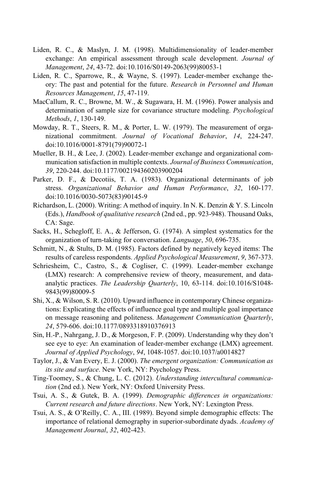- Liden, R. C., & Maslyn, J. M. (1998). Multidimensionality of leader-member exchange: An empirical assessment through scale development. *Journal of Management*, *24*, 43-72. doi:10.1016/S0149-2063(99)80053-1
- Liden, R. C., Sparrowe, R., & Wayne, S. (1997). Leader-member exchange theory: The past and potential for the future. *Research in Personnel and Human Resources Management*, *15*, 47-119.
- MacCallum, R. C., Browne, M. W., & Sugawara, H. M. (1996). Power analysis and determination of sample size for covariance structure modeling. *Psychological Methods*, *1*, 130-149.
- Mowday, R. T., Steers, R. M., & Porter, L. W. (1979). The measurement of organizational commitment. *Journal of Vocational Behavior*, *14*, 224-247. doi:10.1016/0001-8791(79)90072-1
- Mueller, B. H., & Lee, J. (2002). Leader-member exchange and organizational communication satisfaction in multiple contexts. *Journal of Business Communication*, *39*, 220-244. doi:10.1177/002194360203900204
- Parker, D. F., & Decotiis, T. A. (1983). Organizational determinants of job stress. *Organizational Behavior and Human Performance*, *32*, 160-177. doi:10.1016/0030-5073(83)90145-9
- Richardson, L. (2000). Writing: A method of inquiry. In N. K. Denzin & Y. S. Lincoln (Eds.), *Handbook of qualitative research* (2nd ed., pp. 923-948). Thousand Oaks, CA: Sage.
- Sacks, H., Schegloff, E. A., & Jefferson, G. (1974). A simplest systematics for the organization of turn-taking for conversation. *Language*, *50*, 696-735.
- Schmitt, N., & Stults, D. M. (1985). Factors defined by negatively keyed items: The results of careless respondents. *Applied Psychological Measurement*, *9*, 367-373.
- Schriesheim, C., Castro, S., & Cogliser, C. (1999). Leader-member exchange (LMX) research: A comprehensive review of theory, measurement, and dataanalytic practices. *The Leadership Quarterly*, 10, 63-114. doi:10.1016/S1048- 9843(99)80009-5
- Shi, X., & Wilson, S. R. (2010). Upward influence in contemporary Chinese organizations: Explicating the effects of influence goal type and multiple goal importance on message reasoning and politeness. *Management Communication Quarterly*, *24*, 579-606. doi:10.1177/0893318910376913
- Sin, H.-P., Nahrgang, J. D., & Morgeson, F. P. (2009). Understanding why they don't see eye to eye: An examination of leader-member exchange (LMX) agreement. *Journal of Applied Psychology*, *94*, 1048-1057. doi:10.1037/a0014827
- Taylor, J., & Van Every, E. J. (2000). *The emergent organization: Communication as its site and surface*. New York, NY: Psychology Press.
- Ting-Toomey, S., & Chung, L. C. (2012). *Understanding intercultural communication* (2nd ed.). New York, NY: Oxford University Press.
- Tsui, A. S., & Gutek, B. A. (1999). *Demographic differences in organizations: Current research and future directions*. New York, NY: Lexington Press.
- Tsui, A. S., & O'Reilly, C. A., III. (1989). Beyond simple demographic effects: The importance of relational demography in superior-subordinate dyads. *Academy of Management Journal*, *32*, 402-423.